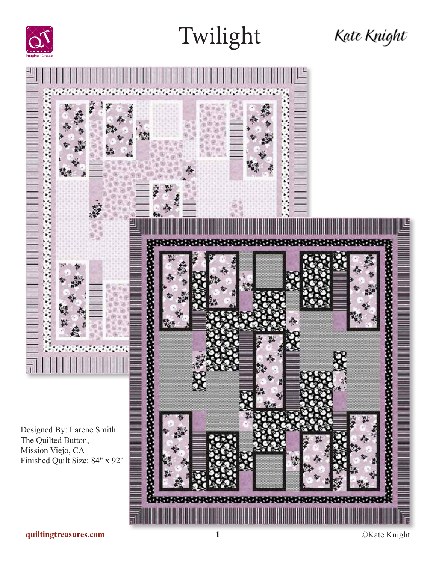



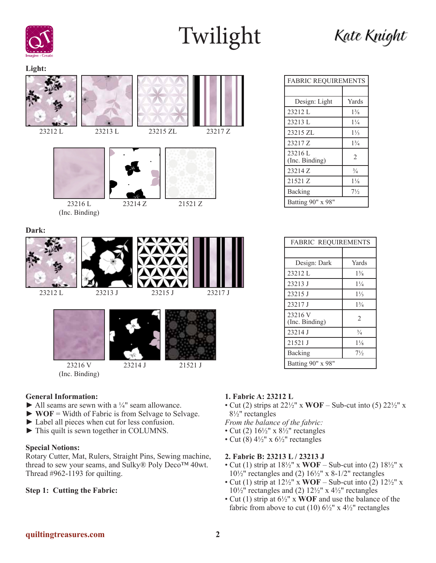









23216 L (Inc. Binding)









23216 V (Inc. Binding)

#### **General Information:**

- $\blacktriangleright$  All seams are sewn with a  $\frac{1}{4}$ " seam allowance.
- ► **WOF** = Width of Fabric is from Selvage to Selvage.
- ► Label all pieces when cut for less confusion.
- ► This quilt is sewn together in COLUMNS.

#### **Special Notions:**

Rotary Cutter, Mat, Rulers, Straight Pins, Sewing machine, thread to sew your seams, and Sulky® Poly Deco™ 40wt. Thread #962-1193 for quilting.

#### **Step 1: Cutting the Fabric:**

### **1. Fabric A: 23212 L**

- Cut (2) strips at  $22\frac{1}{2}$ " x **WOF** Sub-cut into (5)  $22\frac{1}{2}$ " x 8½" rectangles
- *From the balance of the fabric:*
- Cut (2)  $16\frac{1}{2}$ " x  $8\frac{1}{2}$ " rectangles
- Cut (8)  $4\frac{1}{2}$ " x  $6\frac{1}{2}$ " rectangles

#### **2. Fabric B: 23213 L / 23213 J**

- Cut (1) strip at 18½" x **WOF** Sub-cut into (2) 18½" x  $10\frac{1}{2}$ " rectangles and (2)  $16\frac{1}{2}$ " x 8-1/2" rectangles
- Cut (1) strip at  $12\frac{1}{2}$ " x **WOF** Sub-cut into (2)  $12\frac{1}{2}$ " x  $10\frac{1}{2}$ " rectangles and (2)  $12\frac{1}{2}$ " x  $4\frac{1}{2}$ " rectangles
- Cut (1) strip at 6½" x **WOF** and use the balance of the fabric from above to cut (10)  $6\frac{1}{2}$ " x  $4\frac{1}{2}$ " rectangles

| <b>FABRIC REQUIREMENTS</b> |                |  |
|----------------------------|----------------|--|
|                            |                |  |
| Design: Light              | Yards          |  |
| 23212L                     | $1\frac{3}{8}$ |  |
| 23213 L                    | $1\frac{1}{4}$ |  |
| 23215 ZL                   | $1\frac{1}{3}$ |  |
| 23217 Z                    | $1\frac{3}{4}$ |  |

 $23210 \text{ L}$ <br>(Inc. Binding) 2  $23214 \text{ Z}$   $\frac{3}{4}$  $21521 Z$  1<sup>1</sup>/<sub>8</sub> Backing 7<sup>1</sup>/<sub>2</sub>

Batting 90" x 98"

23216 L

| <b>FABRIC REQUIREMENTS</b> |                |
|----------------------------|----------------|
|                            |                |
| Design: Dark               | Yards          |
| 23212 L                    | $1\frac{3}{8}$ |
| 23213 J                    | $1\frac{1}{4}$ |
| 23215 J                    | $1\frac{1}{3}$ |
| 23217 J                    | $1\frac{3}{4}$ |
| 23216 V<br>(Inc. Binding)  | $\mathfrak{D}$ |
| 23214 J                    | $\frac{3}{4}$  |
| 21521 J                    | $1\frac{1}{8}$ |
| Backing                    | $7\frac{1}{2}$ |
| Batting 90" x 98"          |                |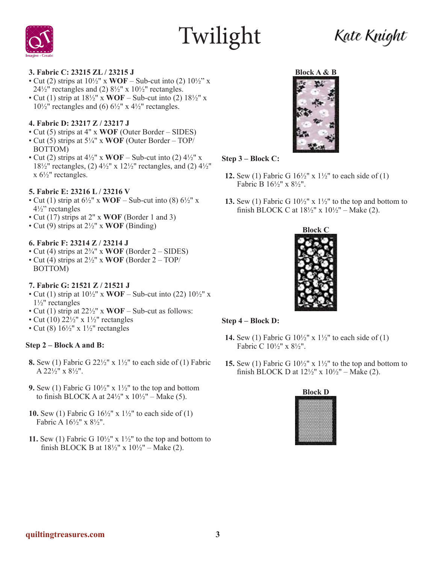### Kate Kníght



#### **3. Fabric C: 23215 ZL / 23215 J**

- Cut (2) strips at  $10\frac{1}{2}$ " x **WOF** Sub-cut into (2)  $10\frac{1}{2}$ " x  $24\frac{1}{2}$ " rectangles and (2)  $8\frac{1}{2}$ " x  $10\frac{1}{2}$ " rectangles.
- Cut (1) strip at  $18\frac{1}{2}$ " x **WOF** Sub-cut into (2)  $18\frac{1}{2}$ " x  $10\frac{1}{2}$ " rectangles and (6)  $6\frac{1}{2}$ " x  $4\frac{1}{2}$ " rectangles.

#### **4. Fabric D: 23217 Z / 23217 J**

- Cut (5) strips at 4" x **WOF** (Outer Border SIDES)
- Cut (5) strips at 5¼" x **WOF** (Outer Border TOP/ BOTTOM)
- Cut (2) strips at  $4\frac{1}{2}$ " x **WOF** Sub-cut into (2)  $4\frac{1}{2}$ " x 18 $\frac{1}{2}$ " rectangles, (2)  $\frac{4}{2}$ " x 12 $\frac{1}{2}$ " rectangles, and (2)  $\frac{4}{2}$ "  $x 6\frac{1}{2}$ " rectangles.

#### **5. Fabric E: 23216 L / 23216 V**

- Cut (1) strip at  $6\frac{1}{2}$ " x **WOF** Sub-cut into (8)  $6\frac{1}{2}$ " x 4½" rectangles
- Cut (17) strips at 2" x **WOF** (Border 1 and 3)
- Cut (9) strips at 2½" x **WOF** (Binding)

#### **6. Fabric F: 23214 Z / 23214 J**

- Cut (4) strips at  $2\frac{3}{4}$ " x **WOF** (Border 2 SIDES)
- Cut (4) strips at 2½" x **WOF** (Border 2 TOP/ BOTTOM)

#### **7. Fabric G: 21521 Z / 21521 J**

- Cut (1) strip at  $10\frac{1}{2}$ " x **WOF** Sub-cut into (22)  $10\frac{1}{2}$ " x 1½" rectangles
- Cut (1) strip at 22½" x **WOF** Sub-cut as follows:
- Cut (10)  $22\frac{1}{2}$ " x  $1\frac{1}{2}$ " rectangles
- Cut (8)  $16\frac{1}{2}$ " x  $1\frac{1}{2}$ " rectangles

#### **Step 2 – Block A and B:**

- **8.** Sew (1) Fabric G 22½" x 1½" to each side of (1) Fabric A 22½" x 8½".
- **9.** Sew (1) Fabric G  $10\frac{1}{2}$ " x  $1\frac{1}{2}$ " to the top and bottom to finish BLOCK A at  $24\frac{1}{2}$ " x  $10\frac{1}{2}$ " – Make (5).
- **10.** Sew (1) Fabric G 16½" x 1½" to each side of (1) Fabric A 16½" x 8½".
- **11.** Sew (1) Fabric G  $10\frac{1}{2}$ " x  $1\frac{1}{2}$ " to the top and bottom to finish BLOCK B at  $18\frac{1}{2}$ " x  $10\frac{1}{2}$ " – Make (2).



#### **Step 3 – Block C:**

- **12.** Sew (1) Fabric G  $16\frac{1}{2}$ " x  $1\frac{1}{2}$ " to each side of (1) Fabric B 16½" x 8½".
- **13.** Sew (1) Fabric G  $10\frac{1}{2}$ " x  $1\frac{1}{2}$ " to the top and bottom to finish BLOCK C at  $18\frac{1}{2}$ " x  $10\frac{1}{2}$ " – Make (2).



#### **Step 4 – Block D:**

- **14.** Sew (1) Fabric G  $10\frac{1}{2}$ " x  $1\frac{1}{2}$ " to each side of (1) Fabric C 10½" x 8½".
- **15.** Sew (1) Fabric G 10½" x 1½" to the top and bottom to finish BLOCK D at  $12\frac{1}{2}$ " x  $10\frac{1}{2}$ " – Make (2).